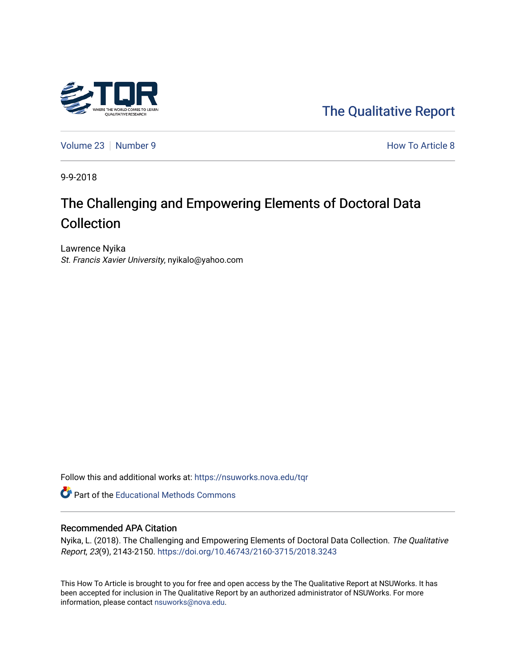

[The Qualitative Report](https://nsuworks.nova.edu/tqr) 

[Volume 23](https://nsuworks.nova.edu/tqr/vol23) [Number 9](https://nsuworks.nova.edu/tqr/vol23/iss9) **How To Article 8** Number 9 **How To Article 8** 

9-9-2018

# The Challenging and Empowering Elements of Doctoral Data Collection

Lawrence Nyika St. Francis Xavier University, nyikalo@yahoo.com

Follow this and additional works at: [https://nsuworks.nova.edu/tqr](https://nsuworks.nova.edu/tqr?utm_source=nsuworks.nova.edu%2Ftqr%2Fvol23%2Fiss9%2F8&utm_medium=PDF&utm_campaign=PDFCoverPages) 

**C** Part of the Educational Methods Commons

### Recommended APA Citation

Nyika, L. (2018). The Challenging and Empowering Elements of Doctoral Data Collection. The Qualitative Report, 23(9), 2143-2150. <https://doi.org/10.46743/2160-3715/2018.3243>

This How To Article is brought to you for free and open access by the The Qualitative Report at NSUWorks. It has been accepted for inclusion in The Qualitative Report by an authorized administrator of NSUWorks. For more information, please contact [nsuworks@nova.edu.](mailto:nsuworks@nova.edu)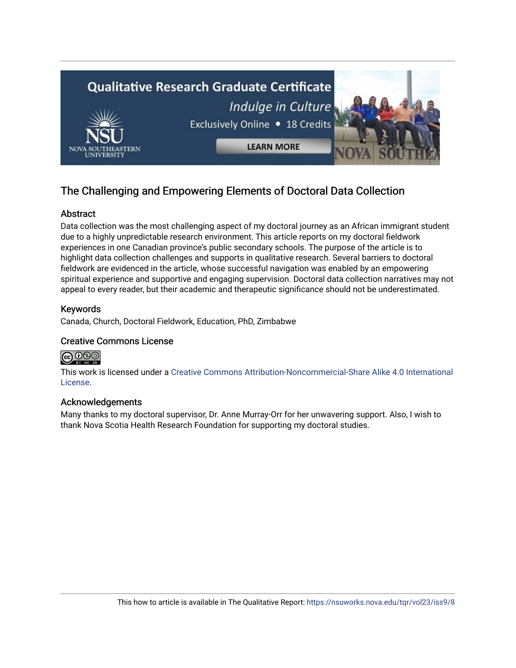

# The Challenging and Empowering Elements of Doctoral Data Collection

# **Abstract**

Data collection was the most challenging aspect of my doctoral journey as an African immigrant student due to a highly unpredictable research environment. This article reports on my doctoral fieldwork experiences in one Canadian province's public secondary schools. The purpose of the article is to highlight data collection challenges and supports in qualitative research. Several barriers to doctoral fieldwork are evidenced in the article, whose successful navigation was enabled by an empowering spiritual experience and supportive and engaging supervision. Doctoral data collection narratives may not appeal to every reader, but their academic and therapeutic significance should not be underestimated.

# Keywords

Canada, Church, Doctoral Fieldwork, Education, PhD, Zimbabwe

# Creative Commons License



This work is licensed under a [Creative Commons Attribution-Noncommercial-Share Alike 4.0 International](https://creativecommons.org/licenses/by-nc-sa/4.0/)  [License](https://creativecommons.org/licenses/by-nc-sa/4.0/).

# Acknowledgements

Many thanks to my doctoral supervisor, Dr. Anne Murray-Orr for her unwavering support. Also, I wish to thank Nova Scotia Health Research Foundation for supporting my doctoral studies.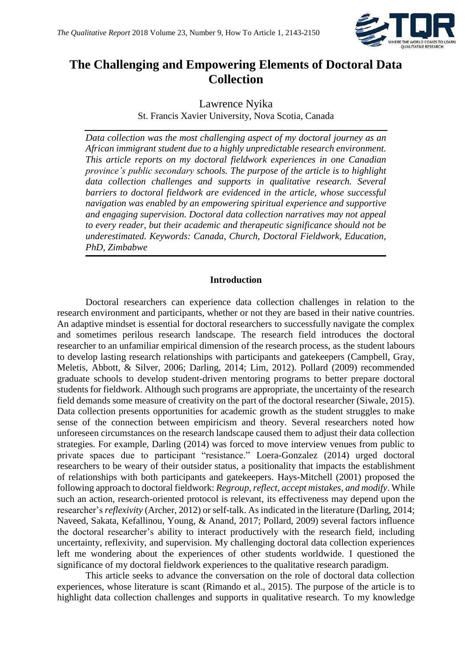

# **The Challenging and Empowering Elements of Doctoral Data Collection**

Lawrence Nyika St. Francis Xavier University, Nova Scotia, Canada

*Data collection was the most challenging aspect of my doctoral journey as an African immigrant student due to a highly unpredictable research environment. This article reports on my doctoral fieldwork experiences in one Canadian province's public secondary schools. The purpose of the article is to highlight data collection challenges and supports in qualitative research. Several barriers to doctoral fieldwork are evidenced in the article, whose successful navigation was enabled by an empowering spiritual experience and supportive and engaging supervision. Doctoral data collection narratives may not appeal to every reader, but their academic and therapeutic significance should not be underestimated. Keywords: Canada, Church, Doctoral Fieldwork, Education, PhD, Zimbabwe*

#### **Introduction**

Doctoral researchers can experience data collection challenges in relation to the research environment and participants, whether or not they are based in their native countries. An adaptive mindset is essential for doctoral researchers to successfully navigate the complex and sometimes perilous research landscape. The research field introduces the doctoral researcher to an unfamiliar empirical dimension of the research process, as the student labours to develop lasting research relationships with participants and gatekeepers (Campbell, Gray, Meletis, Abbott, & Silver, 2006; Darling, 2014; Lim, 2012). Pollard (2009) recommended graduate schools to develop student-driven mentoring programs to better prepare doctoral students for fieldwork. Although such programs are appropriate, the uncertainty of the research field demands some measure of creativity on the part of the doctoral researcher (Siwale, 2015). Data collection presents opportunities for academic growth as the student struggles to make sense of the connection between empiricism and theory. Several researchers noted how unforeseen circumstances on the research landscape caused them to adjust their data collection strategies. For example, Darling (2014) was forced to move interview venues from public to private spaces due to participant "resistance." Loera-Gonzalez (2014) urged doctoral researchers to be weary of their outsider status, a positionality that impacts the establishment of relationships with both participants and gatekeepers. Hays-Mitchell (2001) proposed the following approach to doctoral fieldwork: *Regroup, reflect, accept mistakes, and modify*. While such an action, research-oriented protocol is relevant, its effectiveness may depend upon the researcher's *reflexivity* (Archer, 2012) or self-talk. As indicated in the literature (Darling, 2014; Naveed, Sakata, Kefallinou, Young, & Anand, 2017; Pollard, 2009) several factors influence the doctoral researcher's ability to interact productively with the research field, including uncertainty, reflexivity, and supervision. My challenging doctoral data collection experiences left me wondering about the experiences of other students worldwide. I questioned the significance of my doctoral fieldwork experiences to the qualitative research paradigm.

This article seeks to advance the conversation on the role of doctoral data collection experiences, whose literature is scant (Rimando et al., 2015). The purpose of the article is to highlight data collection challenges and supports in qualitative research. To my knowledge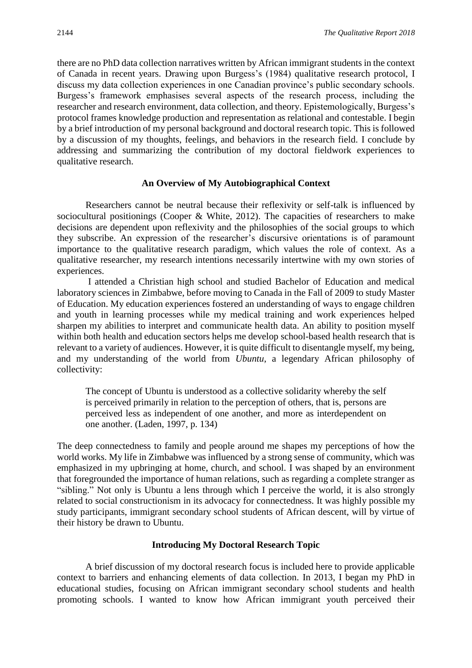there are no PhD data collection narratives written by African immigrant students in the context of Canada in recent years. Drawing upon Burgess's (1984) qualitative research protocol, I discuss my data collection experiences in one Canadian province's public secondary schools. Burgess's framework emphasises several aspects of the research process, including the researcher and research environment, data collection, and theory. Epistemologically, Burgess's protocol frames knowledge production and representation as relational and contestable. I begin by a brief introduction of my personal background and doctoral research topic. This is followed by a discussion of my thoughts, feelings, and behaviors in the research field. I conclude by addressing and summarizing the contribution of my doctoral fieldwork experiences to qualitative research.

#### **An Overview of My Autobiographical Context**

Researchers cannot be neutral because their reflexivity or self-talk is influenced by sociocultural positionings (Cooper & White, 2012). The capacities of researchers to make decisions are dependent upon reflexivity and the philosophies of the social groups to which they subscribe. An expression of the researcher's discursive orientations is of paramount importance to the qualitative research paradigm, which values the role of context. As a qualitative researcher, my research intentions necessarily intertwine with my own stories of experiences.

I attended a Christian high school and studied Bachelor of Education and medical laboratory sciences in Zimbabwe, before moving to Canada in the Fall of 2009 to study Master of Education. My education experiences fostered an understanding of ways to engage children and youth in learning processes while my medical training and work experiences helped sharpen my abilities to interpret and communicate health data. An ability to position myself within both health and education sectors helps me develop school-based health research that is relevant to a variety of audiences. However, it is quite difficult to disentangle myself, my being, and my understanding of the world from *Ubuntu*, a legendary African philosophy of collectivity:

The concept of Ubuntu is understood as a collective solidarity whereby the self is perceived primarily in relation to the perception of others, that is, persons are perceived less as independent of one another, and more as interdependent on one another. (Laden, 1997, p. 134)

The deep connectedness to family and people around me shapes my perceptions of how the world works. My life in Zimbabwe was influenced by a strong sense of community, which was emphasized in my upbringing at home, church, and school. I was shaped by an environment that foregrounded the importance of human relations, such as regarding a complete stranger as "sibling." Not only is Ubuntu a lens through which I perceive the world, it is also strongly related to social constructionism in its advocacy for connectedness. It was highly possible my study participants, immigrant secondary school students of African descent, will by virtue of their history be drawn to Ubuntu.

# **Introducing My Doctoral Research Topic**

A brief discussion of my doctoral research focus is included here to provide applicable context to barriers and enhancing elements of data collection. In 2013, I began my PhD in educational studies, focusing on African immigrant secondary school students and health promoting schools. I wanted to know how African immigrant youth perceived their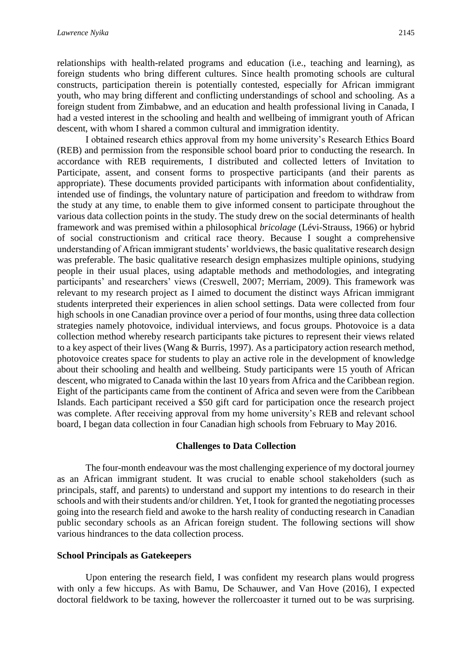relationships with health-related programs and education (i.e., teaching and learning), as foreign students who bring different cultures. Since health promoting schools are cultural constructs, participation therein is potentially contested, especially for African immigrant youth, who may bring different and conflicting understandings of school and schooling. As a foreign student from Zimbabwe, and an education and health professional living in Canada, I had a vested interest in the schooling and health and wellbeing of immigrant youth of African descent, with whom I shared a common cultural and immigration identity.

I obtained research ethics approval from my home university's Research Ethics Board (REB) and permission from the responsible school board prior to conducting the research. In accordance with REB requirements, I distributed and collected letters of Invitation to Participate, assent, and consent forms to prospective participants (and their parents as appropriate). These documents provided participants with information about confidentiality, intended use of findings, the voluntary nature of participation and freedom to withdraw from the study at any time, to enable them to give informed consent to participate throughout the various data collection points in the study. The study drew on the social determinants of health framework and was premised within a philosophical *bricolage* (Lévi-Strauss, 1966) or hybrid of social constructionism and critical race theory. Because I sought a comprehensive understanding of African immigrant students' worldviews, the basic qualitative research design was preferable. The basic qualitative research design emphasizes multiple opinions, studying people in their usual places, using adaptable methods and methodologies, and integrating participants' and researchers' views (Creswell, 2007; Merriam, 2009). This framework was relevant to my research project as I aimed to document the distinct ways African immigrant students interpreted their experiences in alien school settings. Data were collected from four high schools in one Canadian province over a period of four months, using three data collection strategies namely photovoice, individual interviews, and focus groups. Photovoice is a data collection method whereby research participants take pictures to represent their views related to a key aspect of their lives (Wang & Burris, 1997). As a participatory action research method, photovoice creates space for students to play an active role in the development of knowledge about their schooling and health and wellbeing. Study participants were 15 youth of African descent, who migrated to Canada within the last 10 years from Africa and the Caribbean region. Eight of the participants came from the continent of Africa and seven were from the Caribbean Islands. Each participant received a \$50 gift card for participation once the research project was complete. After receiving approval from my home university's REB and relevant school board, I began data collection in four Canadian high schools from February to May 2016.

# **Challenges to Data Collection**

The four-month endeavour was the most challenging experience of my doctoral journey as an African immigrant student. It was crucial to enable school stakeholders (such as principals, staff, and parents) to understand and support my intentions to do research in their schools and with their students and/or children. Yet, I took for granted the negotiating processes going into the research field and awoke to the harsh reality of conducting research in Canadian public secondary schools as an African foreign student. The following sections will show various hindrances to the data collection process.

# **School Principals as Gatekeepers**

Upon entering the research field, I was confident my research plans would progress with only a few hiccups. As with Bamu, De Schauwer, and Van Hove (2016), I expected doctoral fieldwork to be taxing, however the rollercoaster it turned out to be was surprising.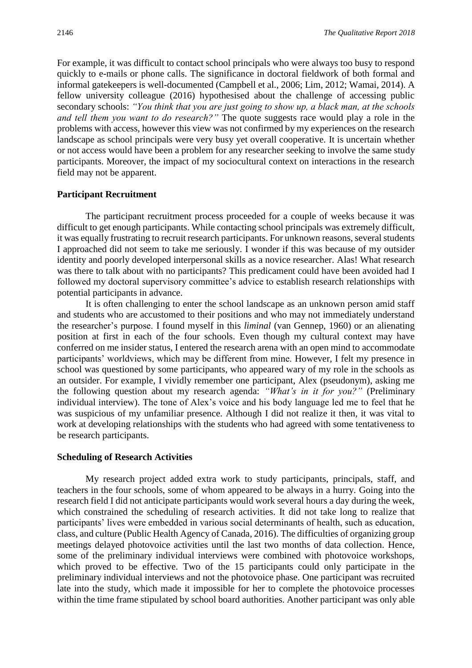For example, it was difficult to contact school principals who were always too busy to respond quickly to e-mails or phone calls. The significance in doctoral fieldwork of both formal and informal gatekeepers is well-documented (Campbell et al., 2006; Lim, 2012; Wamai, 2014). A fellow university colleague (2016) hypothesised about the challenge of accessing public secondary schools: *"You think that you are just going to show up, a black man, at the schools and tell them you want to do research?"* The quote suggests race would play a role in the problems with access, however this view was not confirmed by my experiences on the research landscape as school principals were very busy yet overall cooperative. It is uncertain whether or not access would have been a problem for any researcher seeking to involve the same study participants. Moreover, the impact of my sociocultural context on interactions in the research field may not be apparent.

#### **Participant Recruitment**

The participant recruitment process proceeded for a couple of weeks because it was difficult to get enough participants. While contacting school principals was extremely difficult, it was equally frustrating to recruit research participants. For unknown reasons, several students I approached did not seem to take me seriously. I wonder if this was because of my outsider identity and poorly developed interpersonal skills as a novice researcher. Alas! What research was there to talk about with no participants? This predicament could have been avoided had I followed my doctoral supervisory committee's advice to establish research relationships with potential participants in advance.

It is often challenging to enter the school landscape as an unknown person amid staff and students who are accustomed to their positions and who may not immediately understand the researcher's purpose. I found myself in this *liminal* (van Gennep, 1960) or an alienating position at first in each of the four schools. Even though my cultural context may have conferred on me insider status, I entered the research arena with an open mind to accommodate participants' worldviews, which may be different from mine. However, I felt my presence in school was questioned by some participants, who appeared wary of my role in the schools as an outsider. For example, I vividly remember one participant, Alex (pseudonym), asking me the following question about my research agenda: *"What's in it for you?"* (Preliminary individual interview). The tone of Alex's voice and his body language led me to feel that he was suspicious of my unfamiliar presence. Although I did not realize it then, it was vital to work at developing relationships with the students who had agreed with some tentativeness to be research participants.

#### **Scheduling of Research Activities**

My research project added extra work to study participants, principals, staff, and teachers in the four schools, some of whom appeared to be always in a hurry. Going into the research field I did not anticipate participants would work several hours a day during the week, which constrained the scheduling of research activities. It did not take long to realize that participants' lives were embedded in various social determinants of health, such as education, class, and culture (Public Health Agency of Canada, 2016). The difficulties of organizing group meetings delayed photovoice activities until the last two months of data collection. Hence, some of the preliminary individual interviews were combined with photovoice workshops, which proved to be effective. Two of the 15 participants could only participate in the preliminary individual interviews and not the photovoice phase. One participant was recruited late into the study, which made it impossible for her to complete the photovoice processes within the time frame stipulated by school board authorities. Another participant was only able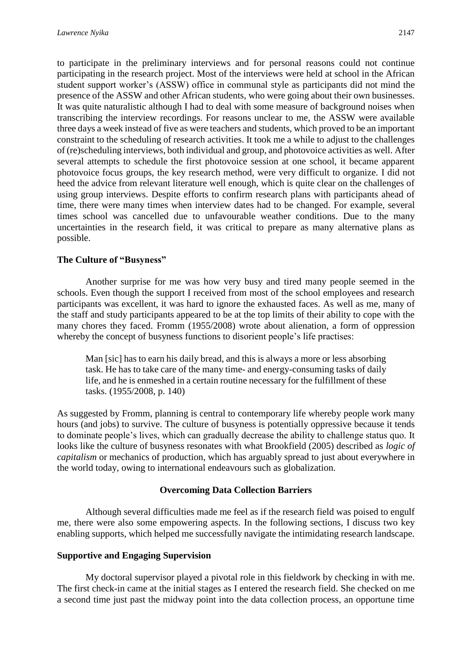to participate in the preliminary interviews and for personal reasons could not continue participating in the research project. Most of the interviews were held at school in the African student support worker's (ASSW) office in communal style as participants did not mind the presence of the ASSW and other African students, who were going about their own businesses. It was quite naturalistic although I had to deal with some measure of background noises when transcribing the interview recordings. For reasons unclear to me, the ASSW were available three days a week instead of five as were teachers and students, which proved to be an important constraint to the scheduling of research activities. It took me a while to adjust to the challenges of (re)scheduling interviews, both individual and group, and photovoice activities as well. After several attempts to schedule the first photovoice session at one school, it became apparent photovoice focus groups, the key research method, were very difficult to organize. I did not heed the advice from relevant literature well enough, which is quite clear on the challenges of using group interviews. Despite efforts to confirm research plans with participants ahead of time, there were many times when interview dates had to be changed. For example, several times school was cancelled due to unfavourable weather conditions. Due to the many uncertainties in the research field, it was critical to prepare as many alternative plans as possible.

# **The Culture of "Busyness"**

Another surprise for me was how very busy and tired many people seemed in the schools. Even though the support I received from most of the school employees and research participants was excellent, it was hard to ignore the exhausted faces. As well as me, many of the staff and study participants appeared to be at the top limits of their ability to cope with the many chores they faced. Fromm (1955/2008) wrote about alienation, a form of oppression whereby the concept of busyness functions to disorient people's life practises:

Man [sic] has to earn his daily bread, and this is always a more or less absorbing task. He has to take care of the many time- and energy-consuming tasks of daily life, and he is enmeshed in a certain routine necessary for the fulfillment of these tasks. (1955/2008, p. 140)

As suggested by Fromm, planning is central to contemporary life whereby people work many hours (and jobs) to survive. The culture of busyness is potentially oppressive because it tends to dominate people's lives, which can gradually decrease the ability to challenge status quo. It looks like the culture of busyness resonates with what Brookfield (2005) described as *logic of capitalism* or mechanics of production, which has arguably spread to just about everywhere in the world today, owing to international endeavours such as globalization.

# **Overcoming Data Collection Barriers**

Although several difficulties made me feel as if the research field was poised to engulf me, there were also some empowering aspects. In the following sections, I discuss two key enabling supports, which helped me successfully navigate the intimidating research landscape.

#### **Supportive and Engaging Supervision**

My doctoral supervisor played a pivotal role in this fieldwork by checking in with me. The first check-in came at the initial stages as I entered the research field. She checked on me a second time just past the midway point into the data collection process, an opportune time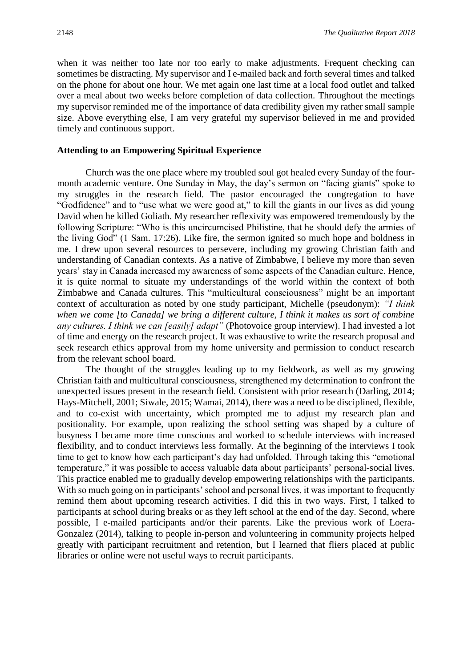when it was neither too late nor too early to make adjustments. Frequent checking can sometimes be distracting. My supervisor and I e-mailed back and forth several times and talked on the phone for about one hour. We met again one last time at a local food outlet and talked over a meal about two weeks before completion of data collection. Throughout the meetings my supervisor reminded me of the importance of data credibility given my rather small sample size. Above everything else, I am very grateful my supervisor believed in me and provided timely and continuous support.

#### **Attending to an Empowering Spiritual Experience**

Church was the one place where my troubled soul got healed every Sunday of the fourmonth academic venture. One Sunday in May, the day's sermon on "facing giants" spoke to my struggles in the research field. The pastor encouraged the congregation to have "Godfidence" and to "use what we were good at," to kill the giants in our lives as did young David when he killed Goliath. My researcher reflexivity was empowered tremendously by the following Scripture: "Who is this uncircumcised Philistine, that he should defy the armies of the living God" (1 Sam. 17:26). Like fire, the sermon ignited so much hope and boldness in me. I drew upon several resources to persevere, including my growing Christian faith and understanding of Canadian contexts. As a native of Zimbabwe, I believe my more than seven years' stay in Canada increased my awareness of some aspects of the Canadian culture. Hence, it is quite normal to situate my understandings of the world within the context of both Zimbabwe and Canada cultures. This "multicultural consciousness" might be an important context of acculturation as noted by one study participant, Michelle (pseudonym): *"I think when we come [to Canada] we bring a different culture, I think it makes us sort of combine any cultures. I think we can [easily] adapt"* (Photovoice group interview). I had invested a lot of time and energy on the research project. It was exhaustive to write the research proposal and seek research ethics approval from my home university and permission to conduct research from the relevant school board.

The thought of the struggles leading up to my fieldwork, as well as my growing Christian faith and multicultural consciousness, strengthened my determination to confront the unexpected issues present in the research field. Consistent with prior research (Darling, 2014; Hays-Mitchell, 2001; Siwale, 2015; Wamai, 2014), there was a need to be disciplined, flexible, and to co-exist with uncertainty, which prompted me to adjust my research plan and positionality. For example, upon realizing the school setting was shaped by a culture of busyness I became more time conscious and worked to schedule interviews with increased flexibility, and to conduct interviews less formally. At the beginning of the interviews I took time to get to know how each participant's day had unfolded. Through taking this "emotional temperature," it was possible to access valuable data about participants' personal-social lives. This practice enabled me to gradually develop empowering relationships with the participants. With so much going on in participants' school and personal lives, it was important to frequently remind them about upcoming research activities. I did this in two ways. First, I talked to participants at school during breaks or as they left school at the end of the day. Second, where possible, I e-mailed participants and/or their parents. Like the previous work of Loera-Gonzalez (2014), talking to people in-person and volunteering in community projects helped greatly with participant recruitment and retention, but I learned that fliers placed at public libraries or online were not useful ways to recruit participants.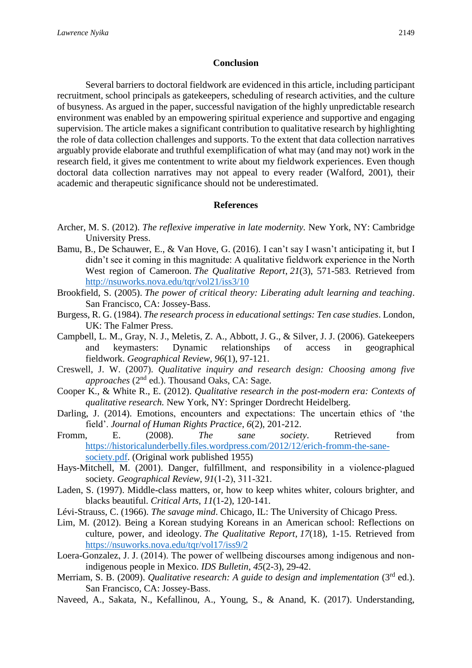#### **Conclusion**

Several barriers to doctoral fieldwork are evidenced in this article, including participant recruitment, school principals as gatekeepers, scheduling of research activities, and the culture of busyness. As argued in the paper, successful navigation of the highly unpredictable research environment was enabled by an empowering spiritual experience and supportive and engaging supervision. The article makes a significant contribution to qualitative research by highlighting the role of data collection challenges and supports. To the extent that data collection narratives arguably provide elaborate and truthful exemplification of what may (and may not) work in the research field, it gives me contentment to write about my fieldwork experiences. Even though doctoral data collection narratives may not appeal to every reader (Walford, 2001), their academic and therapeutic significance should not be underestimated.

#### **References**

- Archer, M. S. (2012). *The reflexive imperative in late modernity.* New York, NY: Cambridge University Press.
- Bamu, B., De Schauwer, E., & Van Hove, G. (2016). I can't say I wasn't anticipating it, but I didn't see it coming in this magnitude: A qualitative fieldwork experience in the North West region of Cameroon. *The Qualitative Report*, *21*(3), 571-583. Retrieved from <http://nsuworks.nova.edu/tqr/vol21/iss3/10>
- Brookfield, S. (2005). *The power of critical theory: Liberating adult learning and teaching*. San Francisco, CA: Jossey-Bass.
- Burgess, R. G. (1984). *The research process in educational settings: Ten case studies*. London, UK: The Falmer Press.
- Campbell, L. M., Gray, N. J., Meletis, Z. A., Abbott, J. G., & Silver, J. J. (2006). Gatekeepers and keymasters: Dynamic relationships of access in geographical fieldwork. *Geographical Review*, *96*(1), 97-121.
- Creswell, J. W. (2007). *Qualitative inquiry and research design: Choosing among five*  approaches (2<sup>nd</sup> ed.). Thousand Oaks, CA: Sage.
- Cooper K., & White R., E. (2012). *Qualitative research in the post-modern era: Contexts of qualitative research.* New York, NY: Springer Dordrecht Heidelberg.
- Darling, J. (2014). Emotions, encounters and expectations: The uncertain ethics of 'the field'. *Journal of Human Rights Practice*, *6*(2), 201-212.
- Fromm, E. (2008). *The sane society*. Retrieved from [https://historicalunderbelly.files.wordpress.com/2012/12/erich-fromm-the-sane](https://historicalunderbelly.files.wordpress.com/2012/12/erich-fromm-the-sane-society.pdf)[society.pdf.](https://historicalunderbelly.files.wordpress.com/2012/12/erich-fromm-the-sane-society.pdf) (Original work published 1955)
- Hays-Mitchell, M. (2001). Danger, fulfillment, and responsibility in a violence-plagued society. *Geographical Review*, *91*(1‐2), 311-321.
- Laden, S. (1997). Middle-class matters, or, how to keep whites whiter, colours brighter, and blacks beautiful. *Critical Arts*, *11*(1-2), 120-141.
- Lévi-Strauss, C. (1966). *The savage mind*. Chicago, IL: The University of Chicago Press.
- Lim, M. (2012). Being a Korean studying Koreans in an American school: Reflections on culture, power, and ideology. *The Qualitative Report*, *17*(18), 1-15. Retrieved from <https://nsuworks.nova.edu/tqr/vol17/iss9/2>
- Loera-Gonzalez, J. J. (2014). The power of wellbeing discourses among indigenous and nonindigenous people in Mexico. *IDS Bulletin*, *45*(2-3), 29-42.
- Merriam, S. B. (2009). *Qualitative research: A guide to design and implementation* (3<sup>rd</sup> ed.). San Francisco, CA: Jossey-Bass.
- Naveed, A., Sakata, N., Kefallinou, A., Young, S., & Anand, K. (2017). Understanding,